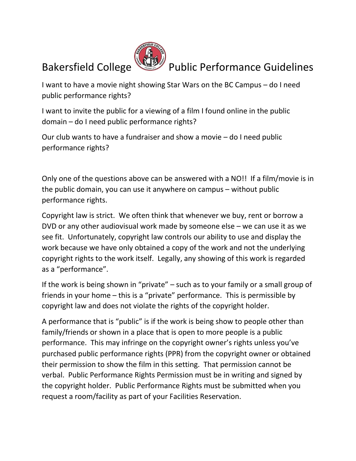

## Bakersfield College VIII Public Performance Guidelines

I want to have a movie night showing Star Wars on the BC Campus – do I need public performance rights?

I want to invite the public for a viewing of a film I found online in the public domain – do I need public performance rights?

Our club wants to have a fundraiser and show a movie – do I need public performance rights?

Only one of the questions above can be answered with a NO!! If a film/movie is in the public domain, you can use it anywhere on campus – without public performance rights.

Copyright law is strict. We often think that whenever we buy, rent or borrow a DVD or any other audiovisual work made by someone else – we can use it as we see fit. Unfortunately, copyright law controls our ability to use and display the work because we have only obtained a copy of the work and not the underlying copyright rights to the work itself. Legally, any showing of this work is regarded as a "performance".

If the work is being shown in "private" – such as to your family or a small group of friends in your home – this is a "private" performance. This is permissible by copyright law and does not violate the rights of the copyright holder.

A performance that is "public" is if the work is being show to people other than family/friends or shown in a place that is open to more people is a public performance. This may infringe on the copyright owner's rights unless you've purchased public performance rights (PPR) from the copyright owner or obtained their permission to show the film in this setting. That permission cannot be verbal. Public Performance Rights Permission must be in writing and signed by the copyright holder. Public Performance Rights must be submitted when you request a room/facility as part of your Facilities Reservation.